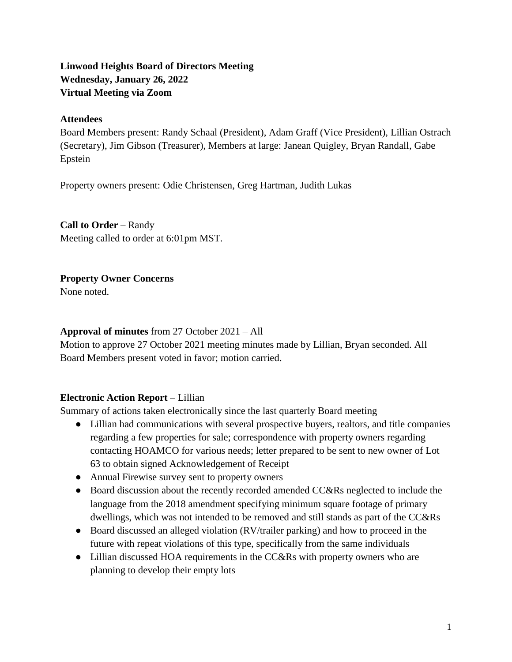# **Linwood Heights Board of Directors Meeting Wednesday, January 26, 2022 Virtual Meeting via Zoom**

### **Attendees**

Board Members present: Randy Schaal (President), Adam Graff (Vice President), Lillian Ostrach (Secretary), Jim Gibson (Treasurer), Members at large: Janean Quigley, Bryan Randall, Gabe Epstein

Property owners present: Odie Christensen, Greg Hartman, Judith Lukas

# **Call to Order** – Randy

Meeting called to order at 6:01pm MST.

## **Property Owner Concerns**

None noted.

## **Approval of minutes** from 27 October 2021 – All

Motion to approve 27 October 2021 meeting minutes made by Lillian, Bryan seconded. All Board Members present voted in favor; motion carried.

## **Electronic Action Report** – Lillian

Summary of actions taken electronically since the last quarterly Board meeting

- Lillian had communications with several prospective buyers, realtors, and title companies regarding a few properties for sale; correspondence with property owners regarding contacting HOAMCO for various needs; letter prepared to be sent to new owner of Lot 63 to obtain signed Acknowledgement of Receipt
- Annual Firewise survey sent to property owners
- Board discussion about the recently recorded amended CC&Rs neglected to include the language from the 2018 amendment specifying minimum square footage of primary dwellings, which was not intended to be removed and still stands as part of the CC&Rs
- Board discussed an alleged violation (RV/trailer parking) and how to proceed in the future with repeat violations of this type, specifically from the same individuals
- Lillian discussed HOA requirements in the CC&Rs with property owners who are planning to develop their empty lots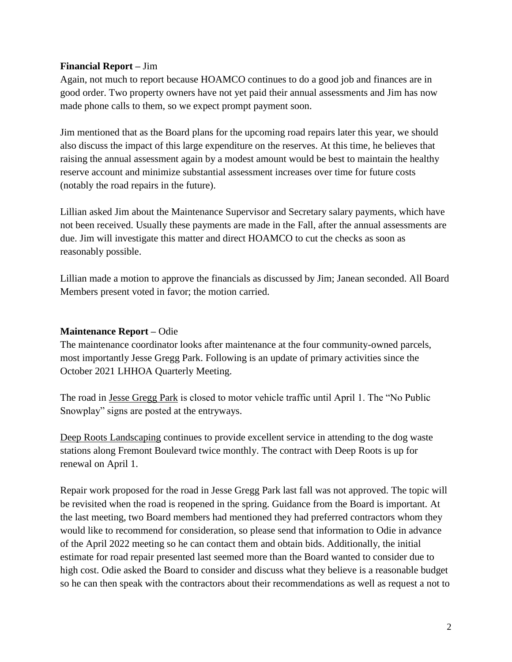### **Financial Report –** Jim

Again, not much to report because HOAMCO continues to do a good job and finances are in good order. Two property owners have not yet paid their annual assessments and Jim has now made phone calls to them, so we expect prompt payment soon.

Jim mentioned that as the Board plans for the upcoming road repairs later this year, we should also discuss the impact of this large expenditure on the reserves. At this time, he believes that raising the annual assessment again by a modest amount would be best to maintain the healthy reserve account and minimize substantial assessment increases over time for future costs (notably the road repairs in the future).

Lillian asked Jim about the Maintenance Supervisor and Secretary salary payments, which have not been received. Usually these payments are made in the Fall, after the annual assessments are due. Jim will investigate this matter and direct HOAMCO to cut the checks as soon as reasonably possible.

Lillian made a motion to approve the financials as discussed by Jim; Janean seconded. All Board Members present voted in favor; the motion carried.

#### **Maintenance Report –** Odie

The maintenance coordinator looks after maintenance at the four community-owned parcels, most importantly Jesse Gregg Park. Following is an update of primary activities since the October 2021 LHHOA Quarterly Meeting.

The road in Jesse Gregg Park is closed to motor vehicle traffic until April 1. The "No Public Snowplay" signs are posted at the entryways.

Deep Roots Landscaping continues to provide excellent service in attending to the dog waste stations along Fremont Boulevard twice monthly. The contract with Deep Roots is up for renewal on April 1.

Repair work proposed for the road in Jesse Gregg Park last fall was not approved. The topic will be revisited when the road is reopened in the spring. Guidance from the Board is important. At the last meeting, two Board members had mentioned they had preferred contractors whom they would like to recommend for consideration, so please send that information to Odie in advance of the April 2022 meeting so he can contact them and obtain bids. Additionally, the initial estimate for road repair presented last seemed more than the Board wanted to consider due to high cost. Odie asked the Board to consider and discuss what they believe is a reasonable budget so he can then speak with the contractors about their recommendations as well as request a not to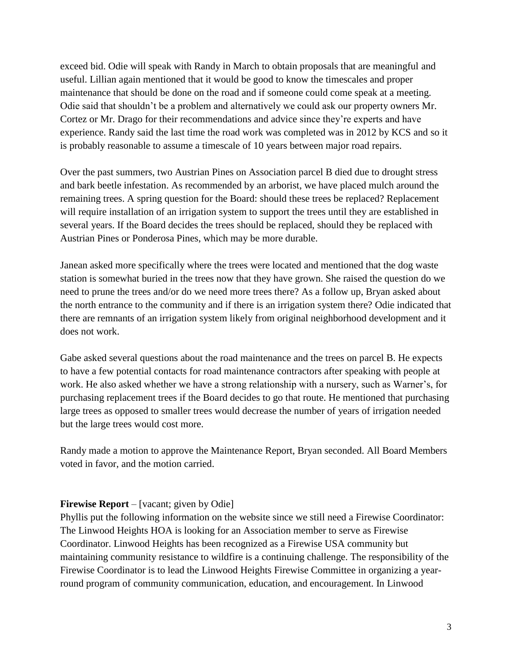exceed bid. Odie will speak with Randy in March to obtain proposals that are meaningful and useful. Lillian again mentioned that it would be good to know the timescales and proper maintenance that should be done on the road and if someone could come speak at a meeting. Odie said that shouldn't be a problem and alternatively we could ask our property owners Mr. Cortez or Mr. Drago for their recommendations and advice since they're experts and have experience. Randy said the last time the road work was completed was in 2012 by KCS and so it is probably reasonable to assume a timescale of 10 years between major road repairs.

Over the past summers, two Austrian Pines on Association parcel B died due to drought stress and bark beetle infestation. As recommended by an arborist, we have placed mulch around the remaining trees. A spring question for the Board: should these trees be replaced? Replacement will require installation of an irrigation system to support the trees until they are established in several years. If the Board decides the trees should be replaced, should they be replaced with Austrian Pines or Ponderosa Pines, which may be more durable.

Janean asked more specifically where the trees were located and mentioned that the dog waste station is somewhat buried in the trees now that they have grown. She raised the question do we need to prune the trees and/or do we need more trees there? As a follow up, Bryan asked about the north entrance to the community and if there is an irrigation system there? Odie indicated that there are remnants of an irrigation system likely from original neighborhood development and it does not work.

Gabe asked several questions about the road maintenance and the trees on parcel B. He expects to have a few potential contacts for road maintenance contractors after speaking with people at work. He also asked whether we have a strong relationship with a nursery, such as Warner's, for purchasing replacement trees if the Board decides to go that route. He mentioned that purchasing large trees as opposed to smaller trees would decrease the number of years of irrigation needed but the large trees would cost more.

Randy made a motion to approve the Maintenance Report, Bryan seconded. All Board Members voted in favor, and the motion carried.

#### **Firewise Report** – [vacant; given by Odie]

Phyllis put the following information on the website since we still need a Firewise Coordinator: The Linwood Heights HOA is looking for an Association member to serve as Firewise Coordinator. Linwood Heights has been recognized as a Firewise USA community but maintaining community resistance to wildfire is a continuing challenge. The responsibility of the Firewise Coordinator is to lead the Linwood Heights Firewise Committee in organizing a yearround program of community communication, education, and encouragement. In Linwood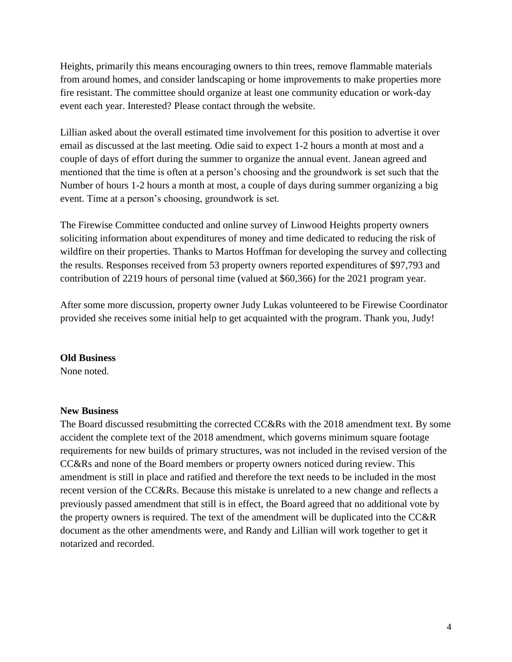Heights, primarily this means encouraging owners to thin trees, remove flammable materials from around homes, and consider landscaping or home improvements to make properties more fire resistant. The committee should organize at least one community education or work-day event each year. Interested? Please contact through the website.

Lillian asked about the overall estimated time involvement for this position to advertise it over email as discussed at the last meeting. Odie said to expect 1-2 hours a month at most and a couple of days of effort during the summer to organize the annual event. Janean agreed and mentioned that the time is often at a person's choosing and the groundwork is set such that the Number of hours 1-2 hours a month at most, a couple of days during summer organizing a big event. Time at a person's choosing, groundwork is set.

The Firewise Committee conducted and online survey of Linwood Heights property owners soliciting information about expenditures of money and time dedicated to reducing the risk of wildfire on their properties. Thanks to Martos Hoffman for developing the survey and collecting the results. Responses received from 53 property owners reported expenditures of \$97,793 and contribution of 2219 hours of personal time (valued at \$60,366) for the 2021 program year.

After some more discussion, property owner Judy Lukas volunteered to be Firewise Coordinator provided she receives some initial help to get acquainted with the program. Thank you, Judy!

#### **Old Business**

None noted.

#### **New Business**

The Board discussed resubmitting the corrected CC&Rs with the 2018 amendment text. By some accident the complete text of the 2018 amendment, which governs minimum square footage requirements for new builds of primary structures, was not included in the revised version of the CC&Rs and none of the Board members or property owners noticed during review. This amendment is still in place and ratified and therefore the text needs to be included in the most recent version of the CC&Rs. Because this mistake is unrelated to a new change and reflects a previously passed amendment that still is in effect, the Board agreed that no additional vote by the property owners is required. The text of the amendment will be duplicated into the CC&R document as the other amendments were, and Randy and Lillian will work together to get it notarized and recorded.